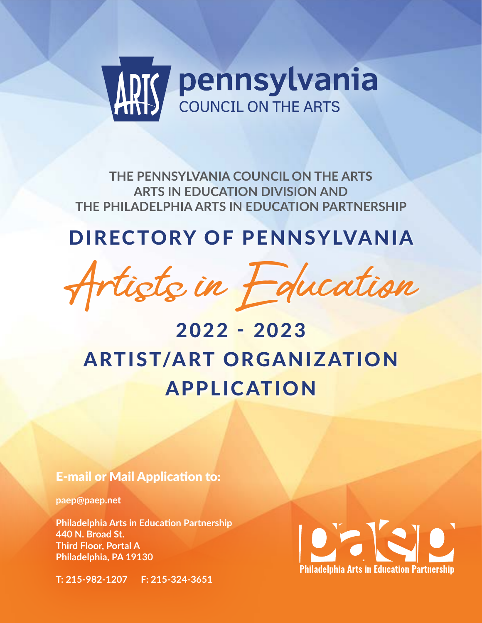

**THE PENNSYLVANIA COUNCIL ON THE ARTS ARTS IN EDUCATION DIVISION AND THE PHILADELPHIA ARTS IN EDUCATION PARTNERSHIP**

## DIRECTORY OF PENNSYLVANIA



# 2022 - 2023 ARTIST/ART ORGANIZATION APPLICATION

## E-mail or Mail Application to:

**paep@paep.net**

**Philadelphia Arts in Education Partnership 440 N. Broad St. Third Floor, Portal A Philadelphia, PA 19130**

**T: 215-982-1207 F: 215-324-3651** 

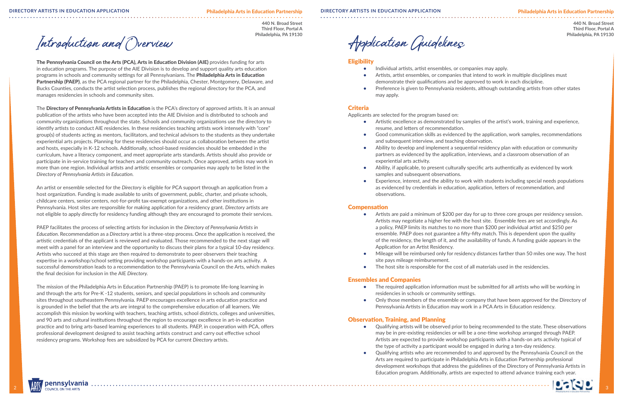2 2 3

## **440 N. Broad Street**

**Third Floor, Portal A Philadelphia, PA 19130**

#### Philadelphia Arts in Education Partnership **DIRECTORY ARTISTS IN EDUCATION APPLICATION DIRECTORY ARTISTS IN EDUCATION APPLICATION**

**440 N. Broad Street Third Floor, Portal A Philadelphia, PA 19130**

Introduction and Overview

The Pennsylvania Council on the Arts (PCA), Arts in Education Division (AIE) provides funding for arts in education programs. The purpose of the AIE Division is to develop and support quality arts education programs in schools and community settings for all Pennsylvanians. The Philadelphia Arts in Education Partnership (PAEP), as the PCA regional partner for the Philadelphia, Chester, Montgomery, Delaware, and Bucks Counties, conducts the artist selection process, publishes the regional directory for the PCA, and manages residencies in schools and community sites.

The Directory of Pennsylvania Artists in Education is the PCA's directory of approved artists. It is an annual publication of the artists who have been accepted into the AIE Division and is distributed to schools and community organizations throughout the state. Schools and community organizations use the directory to identify artists to conduct AIE residencies. In these residencies teaching artists work intensely with "core" group(s) of students acting as mentors, facilitators, and technical advisors to the students as they undertake experiential arts projects. Planning for these residencies should occur as collaboration between the artist and hosts, especially in K-12 schools. Additionally, school-based residencies should be embedded in the curriculum, have a literacy component, and meet appropriate arts standards. Artists should also provide or participate in in-service training for teachers and community outreach. Once approved, artists may work in more than one region. Individual artists and artistic ensembles or companies may apply to be listed in the *Directory of Pennsylvania Artists in Education.* 

An artist or ensemble selected for the *Directory* is eligible for PCA support through an application from a host organization. Funding is made available to units of government, public, charter, and private schools, childcare centers, senior centers, not-for-profit tax-exempt organizations, and other institutions in Pennsylvania. Host sites are responsible for making application for a residency grant. *Directory* artists are not eligible to apply directly for residency funding although they are encouraged to promote their services.

PAEP facilitates the process of selecting artists for inclusion in the *Directory of Pennsylvania Artists in Education*. Recommendation as a *Directory* artist is a three-step process. Once the application is received, the artistic credentials of the applicant is reviewed and evaluated. Those recommended to the next stage will meet with a panel for an interview and the opportunity to discuss their plans for a typical 10-day residency. Artists who succeed at this stage are then required to demonstrate to peer observers their teaching expertise in a workshop/school setting providing workshop participants with a hands-on arts activity. A successful demonstration leads to a recommendation to the Pennsylvania Council on the Arts, which makes the final decision for inclusion in the AIE *Directory.* 

- The required application information must be submitted for all artists who will be working in residencies in schools or community settings.
- Only those members of the ensemble or company that have been approved for the Directory of Pennsylvania Artists in Education may work in a PCA Arts in Education residency.

The mission of the Philadelphia Arts in Education Partnership (PAEP) is to promote life-long learning in and through the arts for Pre-K -12 students, seniors, and special populations in schools and community sites throughout southeastern Pennsylvania. PAEP encourages excellence in arts education practice and is grounded in the belief that the arts are integral to the comprehensive education of all learners. We accomplish this mission by working with teachers, teaching artists, school districts, colleges and universities, and 90 arts and cultural institutions throughout the region to encourage excellence in art-in-education practice and to bring arts-based learning experiences to all students. PAEP, in cooperation with PCA, offers professional development designed to assist teaching artists construct and carry out effective school residency programs. Workshop fees are subsidized by PCA for current *Directory* artists.

Application Guidelines

#### **Eligibility**

- **•** Individual artists, artist ensembles, or companies may apply.
- **•** Artists, artist ensembles, or companies that intend to work in multiple disciplines must demonstrate their qualifications and be approved to work in each discipline.
- Preference is given to Pennsylvania residents, although outstanding artists from other states may apply.

### Criteria

Applicants are selected for the program based on:

- **•** Artistic excellence as demonstrated by samples of the artist's work, training and experience, resume, and letters of recommendation.
- **•** Good communication skills as evidenced by the application, work samples, recommendations and subsequent interview, and teaching observation.
- **•** Ability to develop and implement a sequential residency plan with education or community partners as evidenced by the application, interviews, and a classroom observation of an experiential arts activity.
- **•** Ability, if applicable, to present culturally specific arts authentically as evidenced by work samples and subsequent observations.
- Experience, interest, and the ability to work with students including special needs populations as evidenced by credentials in education, application, letters of recommendation, and observations.

#### **Compensation**

**•** Artists are paid a minimum of \$200 per day for up to three core groups per residency session. Artists may negotiate a higher fee with the host site. Ensemble fees are set accordingly. As a policy, PAEP limits its matches to no more than \$200 per individual artist and \$250 per ensemble. PAEP does not guarantee a fifty-fifty match. This is dependent upon the quality of the residency, the length of it, and the availability of funds. A funding guide appears in the

- Application for an Artist Residency.
- site pays mileage reimbursement.
- 

**•** Mileage will be reimbursed only for residency distances farther than 50 miles one way. The host

**•** The host site is responsible for the cost of all materials used in the residencies.

#### Ensembles and Companies

### Observation, Training, and Planning

- 
- 

**•** Qualifying artists will be observed prior to being recommended to the state. These observations may be in pre-existing residencies or will be a one-time workshop arranged through PAEP. Artists are expected to provide workshop participants with a hands-on arts activity typical of the type of activity a participant would be engaged in during a ten-day residency.

**•** Qualifying artists who are recommended to and approved by the Pennsylvania Council on the Arts are required to participate in Philadelphia Arts in Education Partnership professional development workshops that address the guidelines of the Directory of Pennsylvania Artists in Education program. Additionally, artists are expected to attend advance training each year.

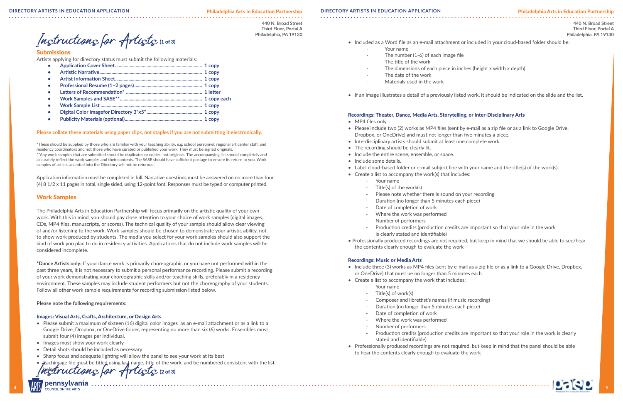#### Philadelphia Arts in Education Partnership

**440 N. Broad Street Third Floor, Portal A Philadelphia, PA 19130**

Instructions for Artists (1 of 3)

**440 N. Broad Street Third Floor, Portal A Philadelphia, PA 19130**

#### Submissions

Artists applying for directory status must submit the following materials:

| $\bullet$ |  |
|-----------|--|
| $\bullet$ |  |
|           |  |
| $\bullet$ |  |
|           |  |
| $\bullet$ |  |
| $\bullet$ |  |

#### **Please collate these materials using paper clips, not staples if you are not submitting it electronically.**

\*These should be supplied by those who are familiar with your teaching ability, e.g. school personnel, regional art center staff, and residency coordinators and not those who have curated or published your work. They must be signed originals. \*\*Any work samples that are submitted should be duplicates or copies, not originals. The accompanying list should completely and accurately reflect the work samples and their contents. The SASE should have sufficient postage to ensure its return to you. Work samples of artists accepted into the Directory will not be returned.

- Please submit a maximum of sixteen (16) digital color images as an e-mail attachment or as a link to a Google Drive, Dropbox, or OneDrive folder, representing no more than six (6) works. Ensembles must submit four (4) images per individual.
- Images must show your work clearly
- Detail shots should be included as necessary
- Sharp focus and adequate lighting will allow the panel to see your work at its best
- Eachimage file must be titled using last name, title of the work, and be numbered consistent with the list

Instructions for Artists (2013)

- Your name
- The number  $(1-6)$  of each image file
- The title of the work
- 
- The date of the work
- Materials used in the work
- 

Application information must be completed in full. Narrative questions must be answered on no more than four (4) 8 1/2 x 11 pages in total, single sided, using 12-point font. Responses must be typed or computer printed.

#### Work Samples

The Philadelphia Arts in Education Partnership will focus primarily on the artistic quality of your own work. With this in mind, you should pay close attention to your choice of work samples (digital images, CDs, MP4 files, manuscripts, or scores). The technical quality of your sample should allow clear viewing of and/or listening to the work. Work samples should be chosen to demonstrate your artistic ability, not to show work produced by students. The media you select for your work samples should also support the kind of work you plan to do in residency activities. Applications that do not include work samples will be considered incomplete.

**\*Dance Artists only:** If your dance work is primarily choreographic or you have not performed within the past three years, it is not necessary to submit a personal performance recording. Please submit a recording of your work demonstrating your choreographic skills and/or teaching skills, preferably in a residency environment. These samples may include student performers but not the choreography of your students. Follow all other work sample requirements for recording submission listed below.

#### **Please note the following requirements:**

#### Images: Visual Arts, Crafts, Architecture, or Design Arts

• Included as a Word file as an e-mail attachment or included in your cloud-based folder should be:

The dimensions of each piece in inches (height x width x depth)

• If an image illustrates a detail of a previously listed work, it should be indicated on the slide and the list.

### Recordings: Theater, Dance, Media Arts, Storytelling, or Inter-Disciplinary Arts

• Please include two (2) works as MP4 files (sent by e-mail as a zip file or as a link to Google Drive,

Production credits (production credits are important so that your role in the work

- MP4 files only
- Dropbox, or OneDrive) and must not longer than five minutes a piece.
- Interdisciplinary artists should submit at least one complete work.
- The recording should be clearly lit.
- Include the entire scene, ensemble, or space.
- Include some details.
- Label cloud-based folder or e-mail subject line with your name and the title(s) of the work(s).
- Create a list to accompany the work(s) that includes:
	- Your name
	- Title(s) of the work(s)
	- Please note whether there is sound on your recording
	- Duration (no longer than 5 minutes each piece)
	- Date of completion of work
	- Where the work was performed
	- Number of performers
	- is clearly stated and identifiable)
- the contents clearly enough to evaluate the work

• Professionally produced recordings are not required, but keep in mind that we should be able to see/hear

#### Recordings: Music or Media Arts

• Include three (3) works as MP4 files (sent by e-mail as a zip file or as a link to a Google Drive, Dropbox,

Production credits (production credits are important so that your role in the work is clearly

- or OneDrive) that must be no longer than 5 minutes each
- Create a list to accompany the work that includes:
	- Your name
	- Title(s) of work(s)
	- Composer and librettist's names (if music recording)
	- Duration (no longer than 5 minutes each piece)
	- Date of completion of work
	- Where the work was performed
	- Number of performers
	- stated and identifiable)
- to hear the contents clearly enough to evaluate the work

• Professionally produced recordings are not required, but keep in mind that the panel should be able

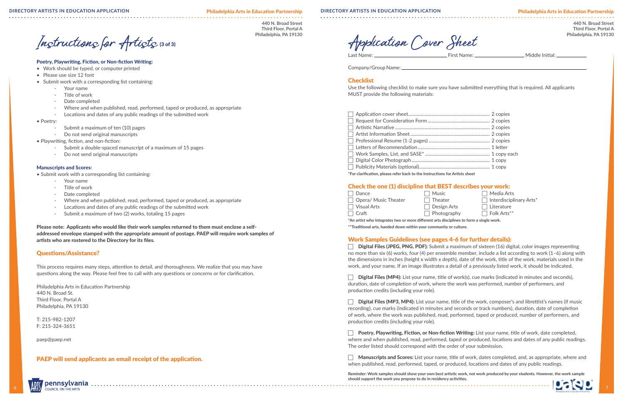Philadelphia Arts in Education Partnership

**440 N. Broad Street**

**Third Floor, Portal A Philadelphia, PA 19130**

**440 N. Broad Street Third Floor, Portal A Philadelphia, PA 19130**

 $\Box$  Media Arts  $\Box$  Interdisciplinary Arts<sup>\*</sup>  $\mathsf{t}$ s  $\Box$  Literature  $\Box$  Folk Arts $^{**}$ 



#### **DIRECTORY ARTISTS IN EDUCATION APPLICATION DIRECTORY ARTISTS IN EDUCATION APPLICATION**

Instructions for Artists (3 of 3)

#### Poetry, Playwriting, Fiction, or Non-fiction Writing:

- Work should be typed, or computer printed
- Please use size 12 font
- Submit work with a corresponding list containing:
	- Your name
	- Title of work
	- Date completed
	- Where and when published, read, performed, taped or produced, as appropriate
	- Locations and dates of any public readings of the submitted work
- Poetry:
	- Submit a maximum of ten (10) pages
	- Do not send original manuscripts
- Playwriting, fiction, and non-fiction:
	- Submit a double-spaced manuscript of a maximum of 15 pages
	- Do not send original manuscripts

#### Manuscripts and Scores:

- Submit work with a corresponding list containing:
	- Your name
	- Title of work
	- Date completed
	- Where and when published, read, performed, taped or produced, as appropriate
	- Locations and dates of any public readings of the submitted work
	- Submit a maximum of two (2) works, totaling 15 pages

Please note: Applicants who would like their work samples returned to them must enclose a selfaddressed envelope stamped with the appropriate amount of postage. PAEP will require work samples of artists who are rostered to the Directory for its files.

#### Questions/Assistance?

This process requires many steps, attention to detail, and thoroughness. We realize that you may have questions along the way. Please feel free to call with any questions or concerns or for clarification.

Philadelphia Arts in Education Partnership 440 N. Broad St. Third Floor, Portal A Philadelphia, PA 19130

T: 215-982-1207 F: 215-324-3651

paep@paep.net

PAEP will send applicants an email receipt of the application.

Company/Group Name:

### **Checklist**

**Digital Files (JPEG, PNG, PDF):** Submit a maximum of sixteen  $(16)$  digital, color images representing no more than six (6) works, four (4) per ensemble member, include a list according to work (1–6) along with the dimensions in inches (height x width x depth), date of the work, title of the work, materials used in the work, and your name. If an image illustrates a detail of a previously listed work, it should be indicated.

Use the following checklist to make sure you have submitted everything that is required. All applicants MUST provide the following materials:

**Digital Files (MP4):** List your name, title of work(s), cue marks (indicated in minutes and seconds), duration, date of completion of work, where the work was performed, number of performers, and production credits (including your role).

**Digital Files (MP3, MP4):** List your name, title of the work, composer's and librettist's names (if music recording), cue marks (indicated in minutes and seconds or track numbers), duration, date of completion of work, where the work was published, read, performed, taped or produced, number of performers, and production credits (including your role).

**Poetry, Playwriting, Fiction, or Non-fiction Writing:** List your name, title of work, date completed, where and when published, read, performed, taped or produced, locations and dates of any public readings. The order listed should correspond with the order of your submission.

**Manuscripts and Scores:** List your name, title of work, dates completed, and, as appropriate, where and when published, read, performed, taped, or produced, locations and dates of any public readings.

6 6 7 **Reminder: Work samples should show your own best artistic work, not work produced by your students. However, the work sample should support the work you propose to do in residency activities.**

Last Name: First Name: Middle Initial: Application Cover Sheet

| *For clarification, please refer back to the Instructions for Artists sheet |  |  |  |
|-----------------------------------------------------------------------------|--|--|--|

## Check the one (1) discipline that BEST describes your work:

| 7 Dance              | $\Box$ Music      |
|----------------------|-------------------|
| Opera/ Music Theater | $\Box$ Theater    |
| Visual Arts          | $\Box$ Design Art |
| $\top$ Craft         | $\Box$ Photograp  |

**\*An artist who integrates two or more different arts disciplines to form a single work. \*\*Traditional arts, handed down within your community or culture.**

## Work Samples Guidelines (see pages 4-6 for further details):